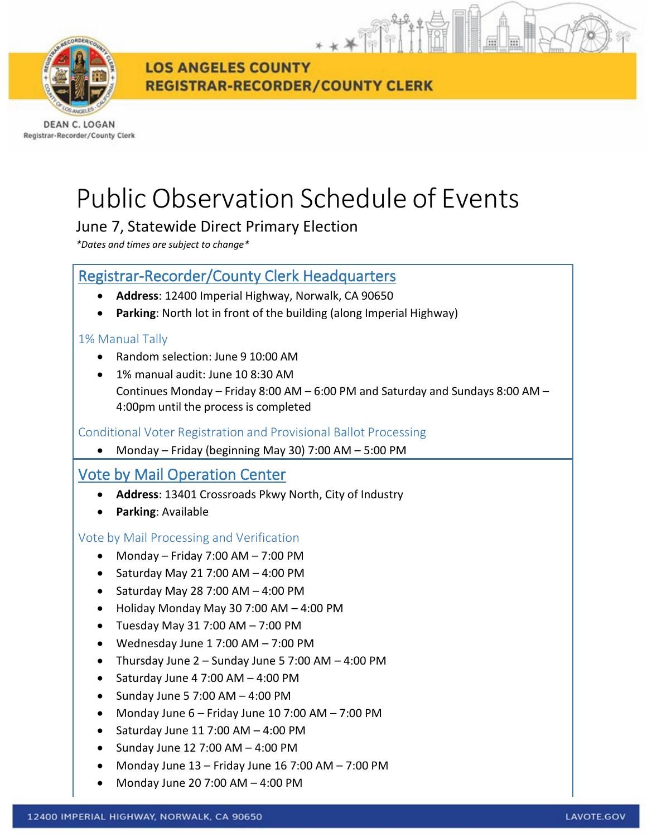

**LOS ANGELES COUNTY REGISTRAR-RECORDER/COUNTY CLERK** 

DEAN C. LOGAN Registrar-Recorder/County Clerk

# Public Observation Schedule of Events

## June 7, Statewide Direct Primary Election

*\*Dates and times are subject to change\**

### Registrar-Recorder/County Clerk Headquarters

- **Address**: 12400 Imperial Highway, Norwalk, CA 90650
- **Parking**: North lot in front of the building (along Imperial Highway)

#### 1% Manual Tally

- Random selection: June 9 10:00 AM
- 1% manual audit: June 10 8:30 AM Continues Monday – Friday 8:00 AM – 6:00 PM and Saturday and Sundays 8:00 AM – 4:00pm until the process is completed

Conditional Voter Registration and Provisional Ballot Processing

• Monday – Friday (beginning May 30) 7:00 AM – 5:00 PM

## Vote by Mail Operation Center

- **Address**: 13401 Crossroads Pkwy North, City of Industry
- **Parking**: Available

#### Vote by Mail Processing and Verification

- Monday Friday 7:00 AM 7:00 PM
- Saturday May 21 7:00 AM  $-$  4:00 PM
- Saturday May 28 7:00 AM  $-$  4:00 PM
- Holiday Monday May 30 7:00 AM 4:00 PM
- Tuesday May 31 7:00 AM 7:00 PM
- Wednesday June 1 7:00 AM 7:00 PM
- Thursday June 2 Sunday June 5 7:00 AM 4:00 PM
- Saturday June 4 7:00 AM 4:00 PM
- Sunday June 5 7:00 AM  $-$  4:00 PM
- Monday June  $6$  Friday June 10 7:00 AM 7:00 PM
- Saturday June 11 7:00 AM 4:00 PM
- Sunday June 12 7:00 AM  $-$  4:00 PM
- Monday June 13 Friday June 16 7:00 AM 7:00 PM
- Monday June 20 7:00 AM 4:00 PM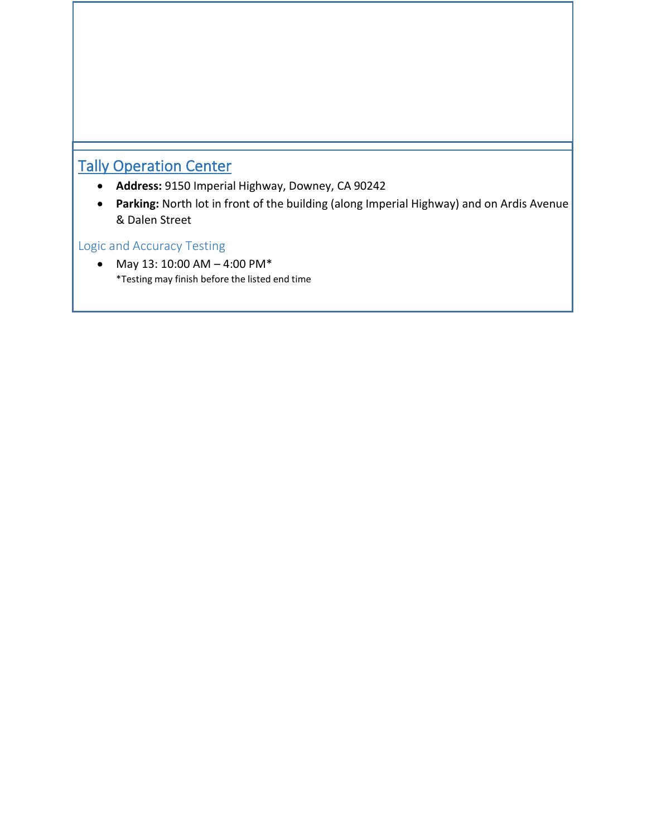# Tally Operation Center

- **Address:** 9150 Imperial Highway, Downey, CA 90242
- **Parking:** North lot in front of the building (along Imperial Highway) and on Ardis Avenue & Dalen Street

#### Logic and Accuracy Testing

• May 13: 10:00 AM – 4:00 PM\* \*Testing may finish before the listed end time